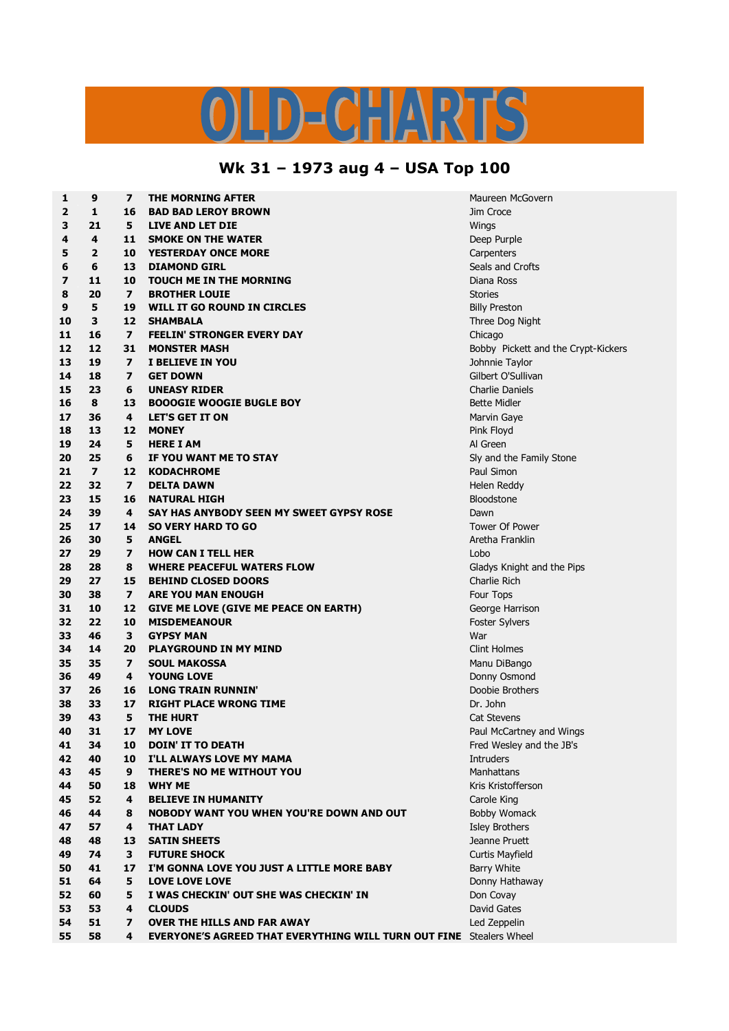## LD-CHARTS

## **Wk 31 – 1973 aug 4 – USA Top 100**

| 1  | 9              | $\overline{\phantom{a}}$ | <b>THE MORNING AFTER</b>                                                   | Maureen McGovern                    |  |
|----|----------------|--------------------------|----------------------------------------------------------------------------|-------------------------------------|--|
| 2  | $\mathbf{1}$   | 16                       | <b>BAD BAD LEROY BROWN</b>                                                 | Jim Croce                           |  |
| 3  | 21             | 5                        | LIVE AND LET DIE                                                           | Wings                               |  |
| 4  | 4              | 11                       | <b>SMOKE ON THE WATER</b>                                                  | Deep Purple                         |  |
| 5  | 2              | 10                       | <b>YESTERDAY ONCE MORE</b>                                                 | Carpenters                          |  |
| 6  | 6              | 13                       | <b>DIAMOND GIRL</b>                                                        | Seals and Crofts                    |  |
| 7  | 11             | 10                       | <b>TOUCH ME IN THE MORNING</b>                                             | Diana Ross                          |  |
| 8  | 20             | 7                        | <b>BROTHER LOUIE</b>                                                       | <b>Stories</b>                      |  |
| 9  | 5              | 19                       | WILL IT GO ROUND IN CIRCLES                                                | <b>Billy Preston</b>                |  |
| 10 | 3              | 12                       | <b>SHAMBALA</b>                                                            | Three Dog Night                     |  |
| 11 | 16             | $\boldsymbol{7}$         | <b>FEELIN' STRONGER EVERY DAY</b>                                          | Chicago                             |  |
| 12 | 12             | 31                       | <b>MONSTER MASH</b>                                                        | Bobby Pickett and the Crypt-Kickers |  |
| 13 | 19             | $\overline{ }$           | I BELIEVE IN YOU                                                           | Johnnie Taylor                      |  |
| 14 | 18             | 7                        | <b>GET DOWN</b>                                                            | Gilbert O'Sullivan                  |  |
|    | 23             |                          |                                                                            | <b>Charlie Daniels</b>              |  |
| 15 | 8              | 6                        | <b>UNEASY RIDER</b>                                                        |                                     |  |
| 16 |                | 13                       | <b>BOOOGIE WOOGIE BUGLE BOY</b>                                            | <b>Bette Midler</b>                 |  |
| 17 | 36             | 4                        | <b>LET'S GET IT ON</b>                                                     | Marvin Gaye                         |  |
| 18 | 13             | 12                       | <b>MONEY</b>                                                               | Pink Floyd                          |  |
| 19 | 24             | 5                        | <b>HERE I AM</b>                                                           | Al Green                            |  |
| 20 | 25             | 6                        | IF YOU WANT ME TO STAY                                                     | Sly and the Family Stone            |  |
| 21 | $\overline{7}$ | 12                       | <b>KODACHROME</b>                                                          | Paul Simon                          |  |
| 22 | 32             | 7                        | <b>DELTA DAWN</b>                                                          | Helen Reddy                         |  |
| 23 | 15             | 16                       | <b>NATURAL HIGH</b>                                                        | <b>Bloodstone</b>                   |  |
| 24 | 39             | 4                        | SAY HAS ANYBODY SEEN MY SWEET GYPSY ROSE                                   | Dawn                                |  |
| 25 | 17             | 14                       | <b>SO VERY HARD TO GO</b>                                                  | <b>Tower Of Power</b>               |  |
| 26 | 30             | 5                        | <b>ANGEL</b>                                                               | Aretha Franklin                     |  |
| 27 | 29             | 7                        | <b>HOW CAN I TELL HER</b>                                                  | Lobo                                |  |
| 28 | 28             | 8                        | <b>WHERE PEACEFUL WATERS FLOW</b>                                          | Gladys Knight and the Pips          |  |
| 29 | 27             | 15                       | <b>BEHIND CLOSED DOORS</b>                                                 | Charlie Rich                        |  |
| 30 | 38             | $\overline{ }$           | <b>ARE YOU MAN ENOUGH</b>                                                  | Four Tops                           |  |
| 31 | 10             | 12                       | GIVE ME LOVE (GIVE ME PEACE ON EARTH)                                      | George Harrison                     |  |
| 32 | 22             | 10                       | <b>MISDEMEANOUR</b>                                                        | <b>Foster Sylvers</b>               |  |
| 33 | 46             | 3                        | <b>GYPSY MAN</b>                                                           | War                                 |  |
| 34 | 14             | 20                       | <b>PLAYGROUND IN MY MIND</b>                                               | <b>Clint Holmes</b>                 |  |
| 35 | 35             | 7                        | <b>SOUL MAKOSSA</b>                                                        | Manu DiBango                        |  |
| 36 | 49             | 4                        | <b>YOUNG LOVE</b>                                                          | Donny Osmond                        |  |
| 37 | 26             | 16                       | <b>LONG TRAIN RUNNIN'</b>                                                  | Doobie Brothers                     |  |
| 38 | 33             | 17                       | <b>RIGHT PLACE WRONG TIME</b>                                              | Dr. John                            |  |
| 39 | 43             | 5                        | <b>THE HURT</b>                                                            | Cat Stevens                         |  |
| 40 | 31             | 17                       | <b>MY LOVE</b>                                                             | Paul McCartney and Wings            |  |
| 41 | 34             | 10                       | <b>DOIN' IT TO DEATH</b>                                                   | Fred Wesley and the JB's            |  |
| 42 | 40             | 10                       | I'LL ALWAYS LOVE MY MAMA                                                   | <b>Intruders</b>                    |  |
| 43 | 45             | 9                        | THERE'S NO ME WITHOUT YOU                                                  | Manhattans                          |  |
| 44 | 50             | 18                       | <b>WHY ME</b>                                                              | Kris Kristofferson                  |  |
| 45 | 52             | 4                        | <b>BELIEVE IN HUMANITY</b>                                                 | Carole King                         |  |
| 46 | 44             | 8                        | <b>NOBODY WANT YOU WHEN YOU'RE DOWN AND OUT</b>                            | <b>Bobby Womack</b>                 |  |
| 47 | 57             | 4                        | <b>THAT LADY</b>                                                           | Isley Brothers                      |  |
| 48 | 48             | 13                       | <b>SATIN SHEETS</b>                                                        | Jeanne Pruett                       |  |
| 49 | 74             | 3                        | <b>FUTURE SHOCK</b>                                                        | <b>Curtis Mayfield</b>              |  |
| 50 | 41             | 17                       | I'M GONNA LOVE YOU JUST A LITTLE MORE BABY                                 | <b>Barry White</b>                  |  |
| 51 | 64             | 5                        | <b>LOVE LOVE LOVE</b>                                                      | Donny Hathaway                      |  |
| 52 | 60             | 5                        | I WAS CHECKIN' OUT SHE WAS CHECKIN' IN                                     | Don Covay                           |  |
| 53 | 53             | 4                        | <b>CLOUDS</b>                                                              | David Gates                         |  |
| 54 | 51             | $\overline{\mathbf{z}}$  | <b>OVER THE HILLS AND FAR AWAY</b>                                         | Led Zeppelin                        |  |
| 55 | 58             | 4                        | <b>EVERYONE'S AGREED THAT EVERYTHING WILL TURN OUT FINE</b> Stealers Wheel |                                     |  |